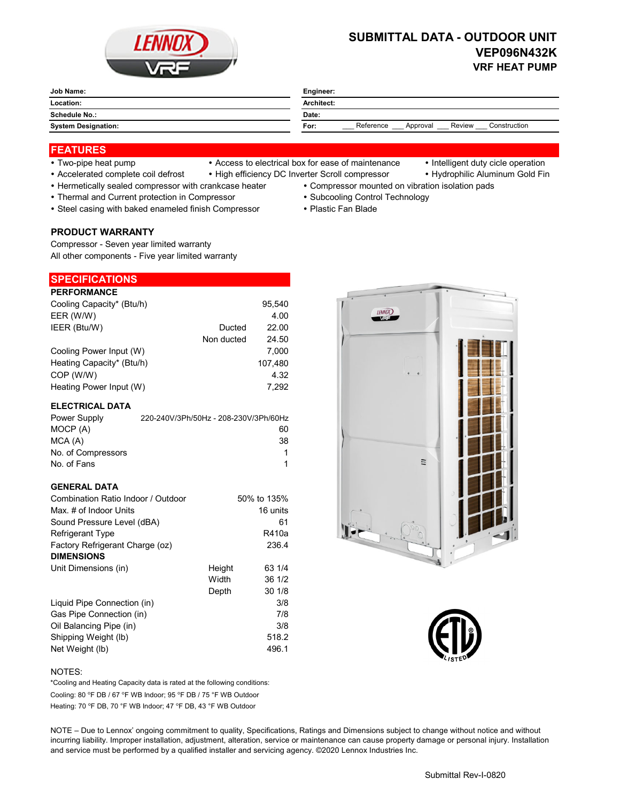

# **SUBMITTAL DATA - OUTDOOR UNIT VEP096N432K VRF HEAT PUMP**

| <b>Job Name:</b><br>______ | Engineer:                                               |  |  |
|----------------------------|---------------------------------------------------------|--|--|
| Location:                  | Architect:                                              |  |  |
| <b>Schedule No.:</b>       | Date:                                                   |  |  |
| <b>System Designation:</b> | Reference<br>Review<br>Construction<br>For:<br>Approval |  |  |

## **FEATURES**

- 
- Two-pipe heat pump Access to electrical box for ease of maintenance Intelligent duty cicle operation
	-
- Accelerated complete coil defrost High efficiency DC Inverter Scroll compressor Hydrophilic Aluminum Gold Fin
- Hermetically sealed compressor with crankcase heater Compressor mounted on vibration isolation pads
- Thermal and Current protection in Compressor **Subcooling Control Technology · Subcooling Control Technology**
- Steel casing with baked enameled finish Compressor Plastic Fan Blade

#### **PRODUCT WARRANTY**

Compressor - Seven year limited warranty All other components - Five year limited warranty

# **SPECIFICATIONS**

| <b>PERFORMANCE</b>        |            |         |
|---------------------------|------------|---------|
| Cooling Capacity* (Btu/h) |            | 95.540  |
| EER (W/W)                 |            | 4.00    |
| IEER (Btu/W)              | Ducted     | 22.00   |
|                           | Non ducted | 24.50   |
| Cooling Power Input (W)   |            | 7.000   |
| Heating Capacity* (Btu/h) |            | 107,480 |
| COP (W/W)                 |            | 4.32    |
| Heating Power Input (W)   |            | 7.292   |

#### **ELECTRICAL DATA**

| Power Supply       | 220-240V/3Ph/50Hz - 208-230V/3Ph/60Hz |
|--------------------|---------------------------------------|
| MOCP (A)           | 60                                    |
| MCA(A)             | 38                                    |
| No. of Compressors | 1                                     |
| No. of Fans        |                                       |

### **GENERAL DATA**

| Combination Ratio Indoor / Outdoor |        | 50% to 135% |
|------------------------------------|--------|-------------|
| Max. # of Indoor Units             |        | 16 units    |
| Sound Pressure Level (dBA)         |        | 61          |
| Refrigerant Type                   |        | R410a       |
| Factory Refrigerant Charge (oz)    |        | 236.4       |
| <b>DIMENSIONS</b>                  |        |             |
| Unit Dimensions (in)               | Height | 63 1/4      |
|                                    | Width  | 36 1/2      |
|                                    | Depth  | 301/8       |
| Liquid Pipe Connection (in)        |        | 3/8         |
| Gas Pipe Connection (in)           |        | 7/8         |
| Oil Balancing Pipe (in)            |        | 3/8         |
| Shipping Weight (lb)               |        | 518.2       |
| Net Weight (lb)                    |        | 496.1       |





#### NOTES:

Cooling: 80 °F DB / 67 °F WB Indoor; 95 °F DB / 75 °F WB Outdoor Heating: 70 °F DB, 70 °F WB Indoor; 47 °F DB, 43 °F WB Outdoor \*Cooling and Heating Capacity data is rated at the following conditions:

NOTE – Due to Lennox' ongoing commitment to quality, Specifications, Ratings and Dimensions subject to change without notice and without incurring liability. Improper installation, adjustment, alteration, service or maintenance can cause property damage or personal injury. Installation and service must be performed by a qualified installer and servicing agency. ©2020 Lennox Industries Inc.